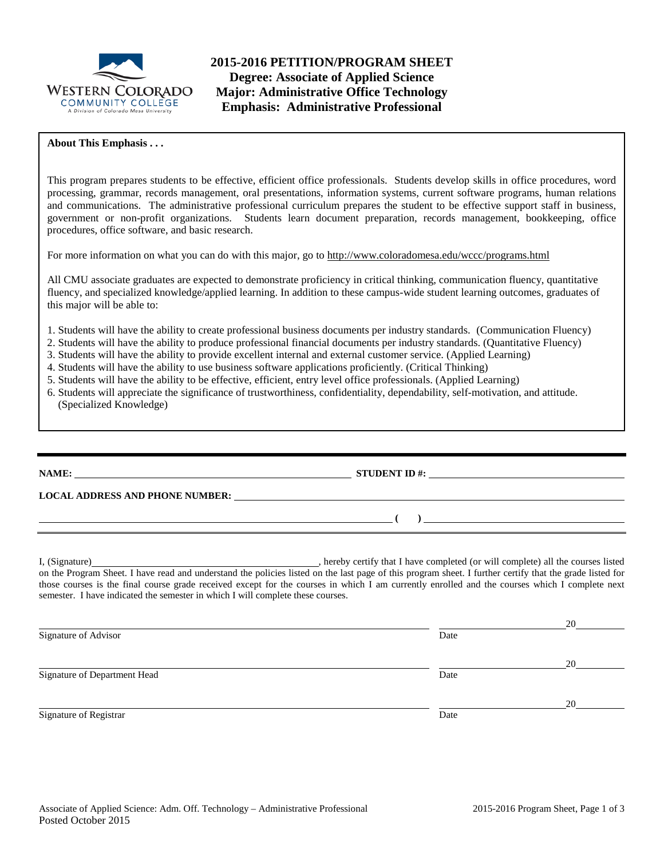

**2015-2016 PETITION/PROGRAM SHEET Degree: Associate of Applied Science Major: Administrative Office Technology Emphasis: Administrative Professional**

## **About This Emphasis . . .**

This program prepares students to be effective, efficient office professionals. Students develop skills in office procedures, word processing, grammar, records management, oral presentations, information systems, current software programs, human relations and communications. The administrative professional curriculum prepares the student to be effective support staff in business, government or non-profit organizations. Students learn document preparation, records management, bookkeeping, office procedures, office software, and basic research.

For more information on what you can do with this major, go to http://www.coloradomesa.edu/wccc/programs.html

All CMU associate graduates are expected to demonstrate proficiency in critical thinking, communication fluency, quantitative fluency, and specialized knowledge/applied learning. In addition to these campus-wide student learning outcomes, graduates of this major will be able to:

- 1. Students will have the ability to create professional business documents per industry standards. (Communication Fluency)
- 2. Students will have the ability to produce professional financial documents per industry standards. (Quantitative Fluency)
- 3. Students will have the ability to provide excellent internal and external customer service. (Applied Learning)
- 4. Students will have the ability to use business software applications proficiently. (Critical Thinking)
- 5. Students will have the ability to be effective, efficient, entry level office professionals. (Applied Learning)
- 6. Students will appreciate the significance of trustworthiness, confidentiality, dependability, self-motivation, and attitude. (Specialized Knowledge)

**NAME: STUDENT ID #:**

**( )** 

**LOCAL ADDRESS AND PHONE NUMBER:**

I, (Signature) hereby certify that I have completed (or will complete) all the courses listed on the Program Sheet. I have read and understand the policies listed on the last page of this program sheet. I further certify that the grade listed for those courses is the final course grade received except for the courses in which I am currently enrolled and the courses which I complete next semester. I have indicated the semester in which I will complete these courses.

|                              |      | 20 |
|------------------------------|------|----|
| Signature of Advisor         | Date |    |
|                              |      | 20 |
| Signature of Department Head | Date |    |
|                              |      | 20 |
| Signature of Registrar       | Date |    |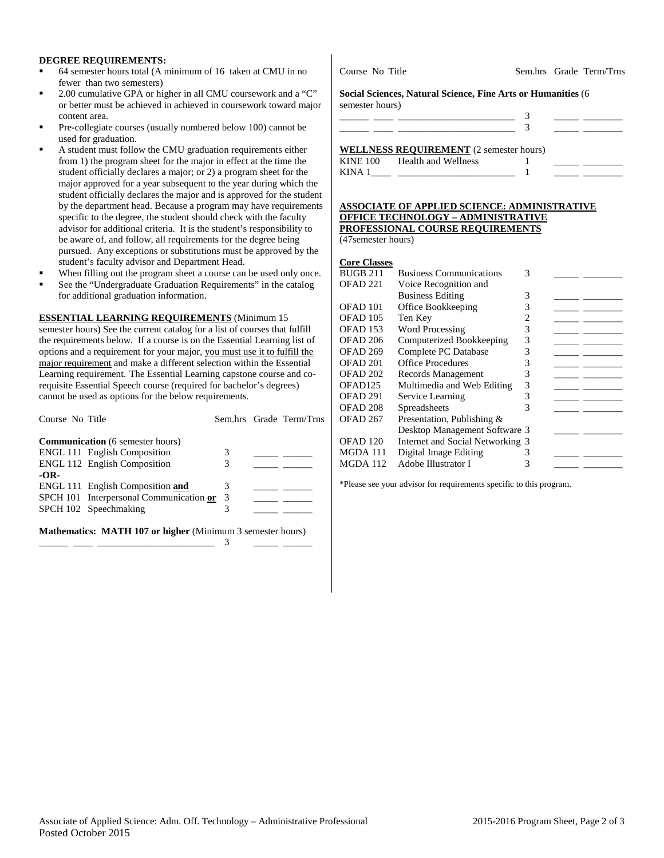#### **DEGREE REQUIREMENTS:**

- 64 semester hours total (A minimum of 16 taken at CMU in no fewer than two semesters)
- 2.00 cumulative GPA or higher in all CMU coursework and a "C" or better must be achieved in achieved in coursework toward major content area.
- Pre-collegiate courses (usually numbered below 100) cannot be used for graduation.
- A student must follow the CMU graduation requirements either from 1) the program sheet for the major in effect at the time the student officially declares a major; or 2) a program sheet for the major approved for a year subsequent to the year during which the student officially declares the major and is approved for the student by the department head. Because a program may have requirements specific to the degree, the student should check with the faculty advisor for additional criteria. It is the student's responsibility to be aware of, and follow, all requirements for the degree being pursued. Any exceptions or substitutions must be approved by the student's faculty advisor and Department Head.
- When filling out the program sheet a course can be used only once.
- See the "Undergraduate Graduation Requirements" in the catalog for additional graduation information.

## **ESSENTIAL LEARNING REQUIREMENTS** (Minimum 15

semester hours) See the current catalog for a list of courses that fulfill the requirements below. If a course is on the Essential Learning list of options and a requirement for your major, you must use it to fulfill the major requirement and make a different selection within the Essential Learning requirement. The Essential Learning capstone course and corequisite Essential Speech course (required for bachelor's degrees) cannot be used as options for the below requirements.

| Course No Title                                                   |   |  | Sem.hrs Grade Term/Trns |  |  |  |
|-------------------------------------------------------------------|---|--|-------------------------|--|--|--|
| <b>Communication</b> (6 semester hours)                           |   |  |                         |  |  |  |
| <b>ENGL 111 English Composition</b>                               | 3 |  |                         |  |  |  |
| <b>ENGL 112 English Composition</b>                               | 3 |  |                         |  |  |  |
| $-OR-$                                                            |   |  |                         |  |  |  |
| ENGL 111 English Composition and                                  | 3 |  |                         |  |  |  |
| SPCH 101 Interpersonal Communication or 3                         |   |  |                         |  |  |  |
| SPCH 102 Speechmaking                                             | 3 |  |                         |  |  |  |
|                                                                   |   |  |                         |  |  |  |
| <b>Mathematics: MATH 107 or higher</b> (Minimum 3 semester hours) |   |  |                         |  |  |  |

\_\_\_\_\_\_ \_\_\_\_ \_\_\_\_\_\_\_\_\_\_\_\_\_\_\_\_\_\_\_\_\_\_\_\_ 3 \_\_\_\_\_ \_\_\_\_\_\_

**Social Sciences, Natural Science, Fine Arts or Humanities** (6 semester hours)

|       | <b>WELLNESS REQUIREMENT</b> (2 semester hours) |  |
|-------|------------------------------------------------|--|
|       | KINE 100 Health and Wellness                   |  |
| KIN A |                                                |  |

#### **ASSOCIATE OF APPLIED SCIENCE: ADMINISTRATIVE OFFICE TECHNOLOGY – ADMINISTRATIVE PROFESSIONAL COURSE REQUIREMENTS**

(47semester hours)

| <b>Core Classes</b> |                                  |   |  |
|---------------------|----------------------------------|---|--|
| <b>BUGB 211</b>     | <b>Business Communications</b>   | 3 |  |
| OFAD 221            | Voice Recognition and            |   |  |
|                     | <b>Business Editing</b>          | 3 |  |
| OFAD 101            | Office Bookkeeping               | 3 |  |
| OFAD 105            | Ten Key                          | 2 |  |
| <b>OFAD 153</b>     | <b>Word Processing</b>           | 3 |  |
| OFAD 206            | Computerized Bookkeeping         | 3 |  |
| <b>OFAD 269</b>     | Complete PC Database             | 3 |  |
| OFAD 201            | <b>Office Procedures</b>         | 3 |  |
| OFAD 202            | Records Management               | 3 |  |
| OFAD <sub>125</sub> | Multimedia and Web Editing       | 3 |  |
| OFAD <sub>291</sub> | Service Learning                 | 3 |  |
| OFAD <sub>208</sub> | Spreadsheets                     | 3 |  |
| OFAD 267            | Presentation, Publishing $\&$    |   |  |
|                     | Desktop Management Software 3    |   |  |
| OFAD 120            | Internet and Social Networking 3 |   |  |
| MGDA 111            | Digital Image Editing            | 3 |  |
| MGDA 112            | Adobe Illustrator I              | 3 |  |
|                     |                                  |   |  |

\*Please see your advisor for requirements specific to this program.